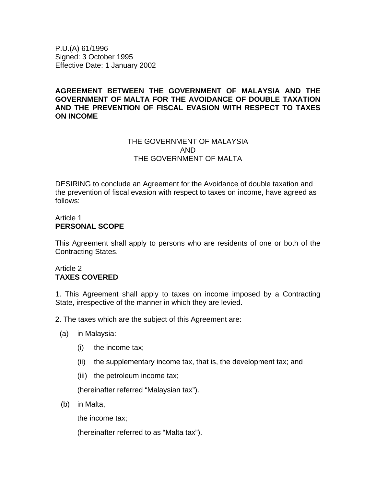P.U.(A) 61/1996 Signed: 3 October 1995 Effective Date: 1 January 2002

## **AGREEMENT BETWEEN THE GOVERNMENT OF MALAYSIA AND THE GOVERNMENT OF MALTA FOR THE AVOIDANCE OF DOUBLE TAXATION AND THE PREVENTION OF FISCAL EVASION WITH RESPECT TO TAXES ON INCOME**

# THE GOVERNMENT OF MALAYSIA AND THE GOVERNMENT OF MALTA

DESIRING to conclude an Agreement for the Avoidance of double taxation and the prevention of fiscal evasion with respect to taxes on income, have agreed as follows:

#### Article 1 **PERSONAL SCOPE**

This Agreement shall apply to persons who are residents of one or both of the Contracting States.

## Article 2 **TAXES COVERED**

1. This Agreement shall apply to taxes on income imposed by a Contracting State, irrespective of the manner in which they are levied.

2. The taxes which are the subject of this Agreement are:

- (a) in Malaysia:
	- (i) the income tax;
	- (ii) the supplementary income tax, that is, the development tax; and
	- (iii) the petroleum income tax;

(hereinafter referred "Malaysian tax").

(b) in Malta,

the income tax;

(hereinafter referred to as "Malta tax").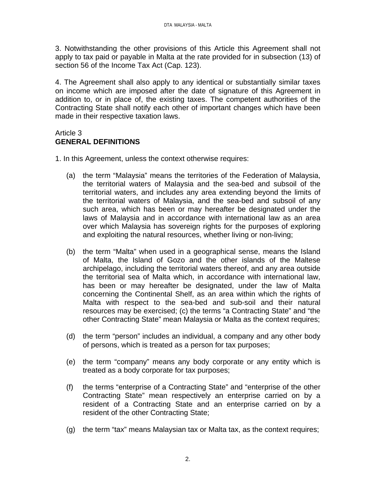3. Notwithstanding the other provisions of this Article this Agreement shall not apply to tax paid or payable in Malta at the rate provided for in subsection (13) of section 56 of the Income Tax Act (Cap. 123).

4. The Agreement shall also apply to any identical or substantially similar taxes on income which are imposed after the date of signature of this Agreement in addition to, or in place of, the existing taxes. The competent authorities of the Contracting State shall notify each other of important changes which have been made in their respective taxation laws.

# Article 3 **GENERAL DEFINITIONS**

- 1. In this Agreement, unless the context otherwise requires:
	- (a) the term "Malaysia" means the territories of the Federation of Malaysia, the territorial waters of Malaysia and the sea-bed and subsoil of the territorial waters, and includes any area extending beyond the limits of the territorial waters of Malaysia, and the sea-bed and subsoil of any such area, which has been or may hereafter be designated under the laws of Malaysia and in accordance with international law as an area over which Malaysia has sovereign rights for the purposes of exploring and exploiting the natural resources, whether living or non-living;
	- (b) the term "Malta" when used in a geographical sense, means the Island of Malta, the Island of Gozo and the other islands of the Maltese archipelago, including the territorial waters thereof, and any area outside the territorial sea of Malta which, in accordance with international law, has been or may hereafter be designated, under the law of Malta concerning the Continental Shelf, as an area within which the rights of Malta with respect to the sea-bed and sub-soil and their natural resources may be exercised; (c) the terms "a Contracting State" and "the other Contracting State" mean Malaysia or Malta as the context requires;
	- (d) the term "person" includes an individual, a company and any other body of persons, which is treated as a person for tax purposes;
	- (e) the term "company" means any body corporate or any entity which is treated as a body corporate for tax purposes;
	- (f) the terms "enterprise of a Contracting State" and "enterprise of the other Contracting State" mean respectively an enterprise carried on by a resident of a Contracting State and an enterprise carried on by a resident of the other Contracting State;
	- (g) the term "tax" means Malaysian tax or Malta tax, as the context requires;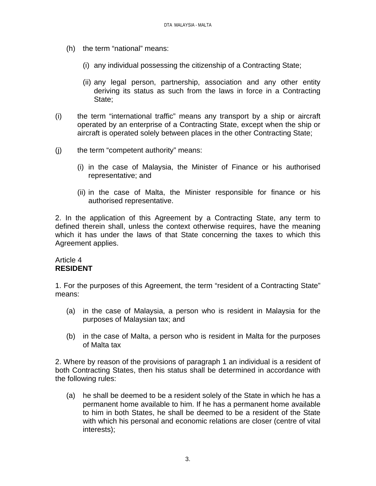- (h) the term "national" means:
	- (i) any individual possessing the citizenship of a Contracting State;
	- (ii) any legal person, partnership, association and any other entity deriving its status as such from the laws in force in a Contracting State;
- (i) the term "international traffic" means any transport by a ship or aircraft operated by an enterprise of a Contracting State, except when the ship or aircraft is operated solely between places in the other Contracting State;
- (j) the term "competent authority" means:
	- (i) in the case of Malaysia, the Minister of Finance or his authorised representative; and
	- (ii) in the case of Malta, the Minister responsible for finance or his authorised representative.

2. In the application of this Agreement by a Contracting State, any term to defined therein shall, unless the context otherwise requires, have the meaning which it has under the laws of that State concerning the taxes to which this Agreement applies.

#### Article 4 **RESIDENT**

1. For the purposes of this Agreement, the term "resident of a Contracting State" means:

- (a) in the case of Malaysia, a person who is resident in Malaysia for the purposes of Malaysian tax; and
- (b) in the case of Malta, a person who is resident in Malta for the purposes of Malta tax

2. Where by reason of the provisions of paragraph 1 an individual is a resident of both Contracting States, then his status shall be determined in accordance with the following rules:

(a) he shall be deemed to be a resident solely of the State in which he has a permanent home available to him. If he has a permanent home available to him in both States, he shall be deemed to be a resident of the State with which his personal and economic relations are closer (centre of vital interests);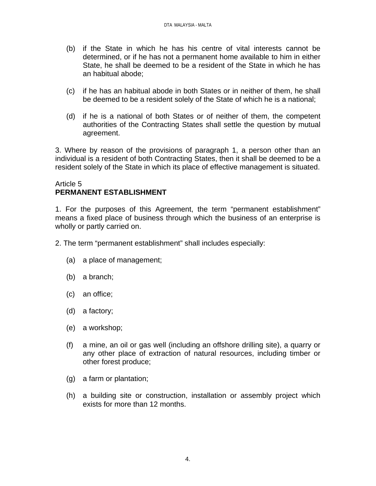- (b) if the State in which he has his centre of vital interests cannot be determined, or if he has not a permanent home available to him in either State, he shall be deemed to be a resident of the State in which he has an habitual abode;
- (c) if he has an habitual abode in both States or in neither of them, he shall be deemed to be a resident solely of the State of which he is a national;
- (d) if he is a national of both States or of neither of them, the competent authorities of the Contracting States shall settle the question by mutual agreement.

3. Where by reason of the provisions of paragraph 1, a person other than an individual is a resident of both Contracting States, then it shall be deemed to be a resident solely of the State in which its place of effective management is situated.

## Article 5 **PERMANENT ESTABLISHMENT**

1. For the purposes of this Agreement, the term "permanent establishment" means a fixed place of business through which the business of an enterprise is wholly or partly carried on.

2. The term "permanent establishment" shall includes especially:

- (a) a place of management;
- (b) a branch;
- (c) an office;
- (d) a factory;
- (e) a workshop;
- (f) a mine, an oil or gas well (including an offshore drilling site), a quarry or any other place of extraction of natural resources, including timber or other forest produce;
- (g) a farm or plantation;
- (h) a building site or construction, installation or assembly project which exists for more than 12 months.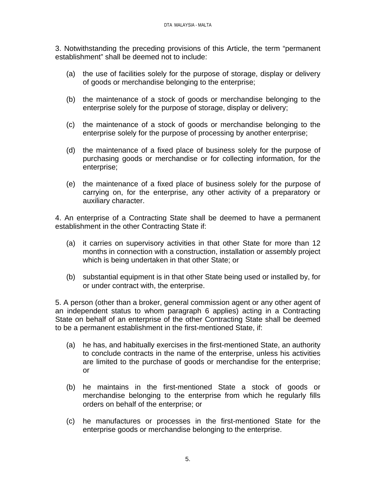3. Notwithstanding the preceding provisions of this Article, the term "permanent establishment" shall be deemed not to include:

- (a) the use of facilities solely for the purpose of storage, display or delivery of goods or merchandise belonging to the enterprise;
- (b) the maintenance of a stock of goods or merchandise belonging to the enterprise solely for the purpose of storage, display or delivery;
- (c) the maintenance of a stock of goods or merchandise belonging to the enterprise solely for the purpose of processing by another enterprise;
- (d) the maintenance of a fixed place of business solely for the purpose of purchasing goods or merchandise or for collecting information, for the enterprise;
- (e) the maintenance of a fixed place of business solely for the purpose of carrying on, for the enterprise, any other activity of a preparatory or auxiliary character.

4. An enterprise of a Contracting State shall be deemed to have a permanent establishment in the other Contracting State if:

- (a) it carries on supervisory activities in that other State for more than 12 months in connection with a construction, installation or assembly project which is being undertaken in that other State; or
- (b) substantial equipment is in that other State being used or installed by, for or under contract with, the enterprise.

5. A person (other than a broker, general commission agent or any other agent of an independent status to whom paragraph 6 applies) acting in a Contracting State on behalf of an enterprise of the other Contracting State shall be deemed to be a permanent establishment in the first-mentioned State, if:

- (a) he has, and habitually exercises in the first-mentioned State, an authority to conclude contracts in the name of the enterprise, unless his activities are limited to the purchase of goods or merchandise for the enterprise; or
- (b) he maintains in the first-mentioned State a stock of goods or merchandise belonging to the enterprise from which he regularly fills orders on behalf of the enterprise; or
- (c) he manufactures or processes in the first-mentioned State for the enterprise goods or merchandise belonging to the enterprise.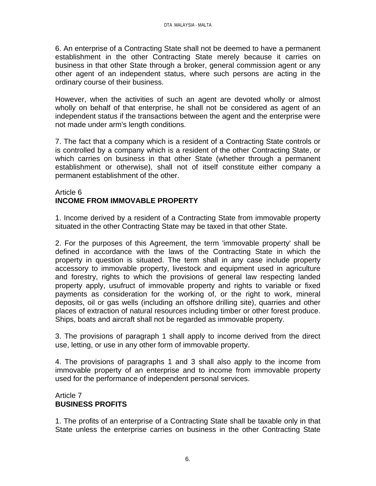6. An enterprise of a Contracting State shall not be deemed to have a permanent establishment in the other Contracting State merely because it carries on business in that other State through a broker, general commission agent or any other agent of an independent status, where such persons are acting in the ordinary course of their business.

However, when the activities of such an agent are devoted wholly or almost wholly on behalf of that enterprise, he shall not be considered as agent of an independent status if the transactions between the agent and the enterprise were not made under arm's length conditions.

7. The fact that a company which is a resident of a Contracting State controls or is controlled by a company which is a resident of the other Contracting State, or which carries on business in that other State (whether through a permanent establishment or otherwise), shall not of itself constitute either company a permanent establishment of the other.

#### Article 6 **INCOME FROM IMMOVABLE PROPERTY**

1. Income derived by a resident of a Contracting State from immovable property situated in the other Contracting State may be taxed in that other State.

2. For the purposes of this Agreement, the term 'immovable property' shall be defined in accordance with the laws of the Contracting State in which the property in question is situated. The term shall in any case include property accessory to immovable property, livestock and equipment used in agriculture and forestry, rights to which the provisions of general law respecting landed property apply, usufruct of immovable property and rights to variable or fixed payments as consideration for the working of, or the right to work, mineral deposits, oil or gas wells (including an offshore drilling site), quarries and other places of extraction of natural resources including timber or other forest produce. Ships, boats and aircraft shall not be regarded as immovable property.

3. The provisions of paragraph 1 shall apply to income derived from the direct use, letting, or use in any other form of immovable property.

4. The provisions of paragraphs 1 and 3 shall also apply to the income from immovable property of an enterprise and to income from immovable property used for the performance of independent personal services.

# Article 7 **BUSINESS PROFITS**

1. The profits of an enterprise of a Contracting State shall be taxable only in that State unless the enterprise carries on business in the other Contracting State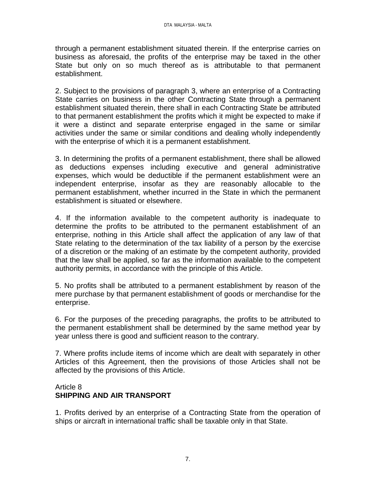through a permanent establishment situated therein. If the enterprise carries on business as aforesaid, the profits of the enterprise may be taxed in the other State but only on so much thereof as is attributable to that permanent establishment.

2. Subject to the provisions of paragraph 3, where an enterprise of a Contracting State carries on business in the other Contracting State through a permanent establishment situated therein, there shall in each Contracting State be attributed to that permanent establishment the profits which it might be expected to make if it were a distinct and separate enterprise engaged in the same or similar activities under the same or similar conditions and dealing wholly independently with the enterprise of which it is a permanent establishment.

3. In determining the profits of a permanent establishment, there shall be allowed as deductions expenses including executive and general administrative expenses, which would be deductible if the permanent establishment were an independent enterprise, insofar as they are reasonably allocable to the permanent establishment, whether incurred in the State in which the permanent establishment is situated or elsewhere.

4. If the information available to the competent authority is inadequate to determine the profits to be attributed to the permanent establishment of an enterprise, nothing in this Article shall affect the application of any law of that State relating to the determination of the tax liability of a person by the exercise of a discretion or the making of an estimate by the competent authority, provided that the law shall be applied, so far as the information available to the competent authority permits, in accordance with the principle of this Article.

5. No profits shall be attributed to a permanent establishment by reason of the mere purchase by that permanent establishment of goods or merchandise for the enterprise.

6. For the purposes of the preceding paragraphs, the profits to be attributed to the permanent establishment shall be determined by the same method year by year unless there is good and sufficient reason to the contrary.

7. Where profits include items of income which are dealt with separately in other Articles of this Agreement, then the provisions of those Articles shall not be affected by the provisions of this Article.

## Article 8 **SHIPPING AND AIR TRANSPORT**

1. Profits derived by an enterprise of a Contracting State from the operation of ships or aircraft in international traffic shall be taxable only in that State.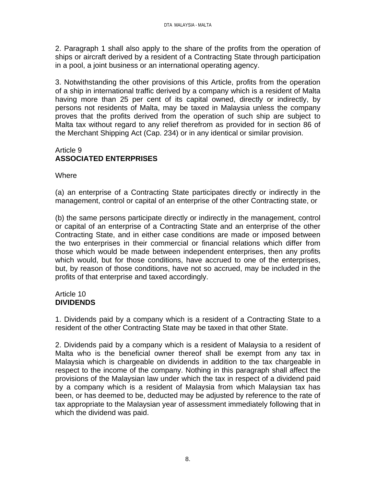2. Paragraph 1 shall also apply to the share of the profits from the operation of ships or aircraft derived by a resident of a Contracting State through participation in a pool, a joint business or an international operating agency.

3. Notwithstanding the other provisions of this Article, profits from the operation of a ship in international traffic derived by a company which is a resident of Malta having more than 25 per cent of its capital owned, directly or indirectly, by persons not residents of Malta, may be taxed in Malaysia unless the company proves that the profits derived from the operation of such ship are subject to Malta tax without regard to any relief therefrom as provided for in section 86 of the Merchant Shipping Act (Cap. 234) or in any identical or similar provision.

# Article 9 **ASSOCIATED ENTERPRISES**

**Where** 

(a) an enterprise of a Contracting State participates directly or indirectly in the management, control or capital of an enterprise of the other Contracting state, or

(b) the same persons participate directly or indirectly in the management, control or capital of an enterprise of a Contracting State and an enterprise of the other Contracting State, and in either case conditions are made or imposed between the two enterprises in their commercial or financial relations which differ from those which would be made between independent enterprises, then any profits which would, but for those conditions, have accrued to one of the enterprises, but, by reason of those conditions, have not so accrued, may be included in the profits of that enterprise and taxed accordingly.

## Article 10 **DIVIDENDS**

1. Dividends paid by a company which is a resident of a Contracting State to a resident of the other Contracting State may be taxed in that other State.

2. Dividends paid by a company which is a resident of Malaysia to a resident of Malta who is the beneficial owner thereof shall be exempt from any tax in Malaysia which is chargeable on dividends in addition to the tax chargeable in respect to the income of the company. Nothing in this paragraph shall affect the provisions of the Malaysian law under which the tax in respect of a dividend paid by a company which is a resident of Malaysia from which Malaysian tax has been, or has deemed to be, deducted may be adjusted by reference to the rate of tax appropriate to the Malaysian year of assessment immediately following that in which the dividend was paid.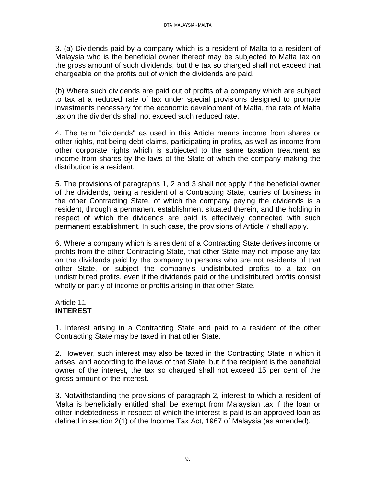3. (a) Dividends paid by a company which is a resident of Malta to a resident of Malaysia who is the beneficial owner thereof may be subjected to Malta tax on the gross amount of such dividends, but the tax so charged shall not exceed that chargeable on the profits out of which the dividends are paid.

(b) Where such dividends are paid out of profits of a company which are subject to tax at a reduced rate of tax under special provisions designed to promote investments necessary for the economic development of Malta, the rate of Malta tax on the dividends shall not exceed such reduced rate.

4. The term "dividends" as used in this Article means income from shares or other rights, not being debt-claims, participating in profits, as well as income from other corporate rights which is subjected to the same taxation treatment as income from shares by the laws of the State of which the company making the distribution is a resident.

5. The provisions of paragraphs 1, 2 and 3 shall not apply if the beneficial owner of the dividends, being a resident of a Contracting State, carries of business in the other Contracting State, of which the company paying the dividends is a resident, through a permanent establishment situated therein, and the holding in respect of which the dividends are paid is effectively connected with such permanent establishment. In such case, the provisions of Article 7 shall apply.

6. Where a company which is a resident of a Contracting State derives income or profits from the other Contracting State, that other State may not impose any tax on the dividends paid by the company to persons who are not residents of that other State, or subject the company's undistributed profits to a tax on undistributed profits, even if the dividends paid or the undistributed profits consist wholly or partly of income or profits arising in that other State.

## Article 11 **INTEREST**

1. Interest arising in a Contracting State and paid to a resident of the other Contracting State may be taxed in that other State.

2. However, such interest may also be taxed in the Contracting State in which it arises, and according to the laws of that State, but if the recipient is the beneficial owner of the interest, the tax so charged shall not exceed 15 per cent of the gross amount of the interest.

3. Notwithstanding the provisions of paragraph 2, interest to which a resident of Malta is beneficially entitled shall be exempt from Malaysian tax if the loan or other indebtedness in respect of which the interest is paid is an approved loan as defined in section 2(1) of the Income Tax Act, 1967 of Malaysia (as amended).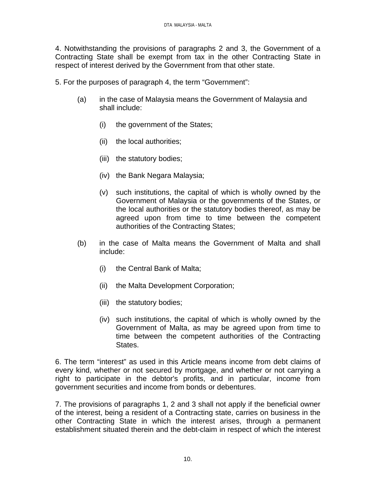4. Notwithstanding the provisions of paragraphs 2 and 3, the Government of a Contracting State shall be exempt from tax in the other Contracting State in respect of interest derived by the Government from that other state.

5. For the purposes of paragraph 4, the term "Government":

- (a) in the case of Malaysia means the Government of Malaysia and shall include:
	- (i) the government of the States;
	- (ii) the local authorities;
	- (iii) the statutory bodies;
	- (iv) the Bank Negara Malaysia;
	- (v) such institutions, the capital of which is wholly owned by the Government of Malaysia or the governments of the States, or the local authorities or the statutory bodies thereof, as may be agreed upon from time to time between the competent authorities of the Contracting States;
- (b) in the case of Malta means the Government of Malta and shall include:
	- (i) the Central Bank of Malta;
	- (ii) the Malta Development Corporation;
	- (iii) the statutory bodies;
	- (iv) such institutions, the capital of which is wholly owned by the Government of Malta, as may be agreed upon from time to time between the competent authorities of the Contracting States.

6. The term "interest" as used in this Article means income from debt claims of every kind, whether or not secured by mortgage, and whether or not carrying a right to participate in the debtor's profits, and in particular, income from government securities and income from bonds or debentures.

7. The provisions of paragraphs 1, 2 and 3 shall not apply if the beneficial owner of the interest, being a resident of a Contracting state, carries on business in the other Contracting State in which the interest arises, through a permanent establishment situated therein and the debt-claim in respect of which the interest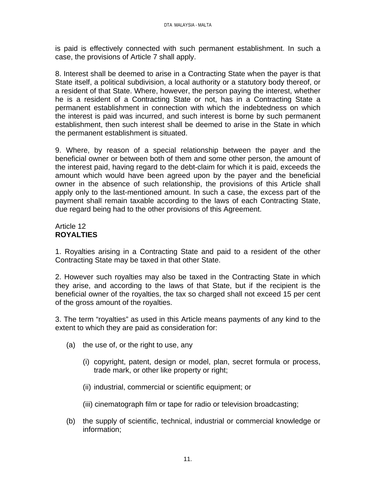is paid is effectively connected with such permanent establishment. In such a case, the provisions of Article 7 shall apply.

8. Interest shall be deemed to arise in a Contracting State when the payer is that State itself, a political subdivision, a local authority or a statutory body thereof, or a resident of that State. Where, however, the person paying the interest, whether he is a resident of a Contracting State or not, has in a Contracting State a permanent establishment in connection with which the indebtedness on which the interest is paid was incurred, and such interest is borne by such permanent establishment, then such interest shall be deemed to arise in the State in which the permanent establishment is situated.

9. Where, by reason of a special relationship between the payer and the beneficial owner or between both of them and some other person, the amount of the interest paid, having regard to the debt-claim for which it is paid, exceeds the amount which would have been agreed upon by the payer and the beneficial owner in the absence of such relationship, the provisions of this Article shall apply only to the last-mentioned amount. In such a case, the excess part of the payment shall remain taxable according to the laws of each Contracting State, due regard being had to the other provisions of this Agreement.

# Article 12 **ROYALTIES**

1. Royalties arising in a Contracting State and paid to a resident of the other Contracting State may be taxed in that other State.

2. However such royalties may also be taxed in the Contracting State in which they arise, and according to the laws of that State, but if the recipient is the beneficial owner of the royalties, the tax so charged shall not exceed 15 per cent of the gross amount of the royalties.

3. The term "royalties" as used in this Article means payments of any kind to the extent to which they are paid as consideration for:

- (a) the use of, or the right to use, any
	- (i) copyright, patent, design or model, plan, secret formula or process, trade mark, or other like property or right;
	- (ii) industrial, commercial or scientific equipment; or
	- (iii) cinematograph film or tape for radio or television broadcasting;
- (b) the supply of scientific, technical, industrial or commercial knowledge or information;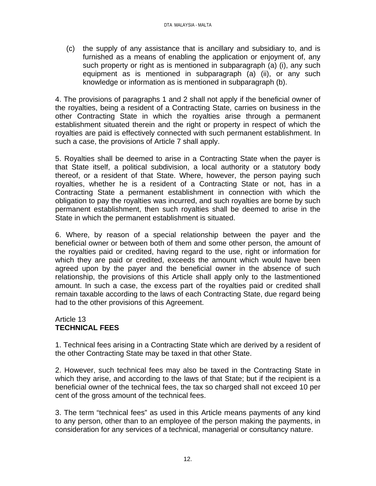(c) the supply of any assistance that is ancillary and subsidiary to, and is furnished as a means of enabling the application or enjoyment of, any such property or right as is mentioned in subparagraph (a) (i), any such equipment as is mentioned in subparagraph (a) (ii), or any such knowledge or information as is mentioned in subparagraph (b).

4. The provisions of paragraphs 1 and 2 shall not apply if the beneficial owner of the royalties, being a resident of a Contracting State, carries on business in the other Contracting State in which the royalties arise through a permanent establishment situated therein and the right or property in respect of which the royalties are paid is effectively connected with such permanent establishment. In such a case, the provisions of Article 7 shall apply.

5. Royalties shall be deemed to arise in a Contracting State when the payer is that State itself, a political subdivision, a local authority or a statutory body thereof, or a resident of that State. Where, however, the person paying such royalties, whether he is a resident of a Contracting State or not, has in a Contracting State a permanent establishment in connection with which the obligation to pay the royalties was incurred, and such royalties are borne by such permanent establishment, then such royalties shall be deemed to arise in the State in which the permanent establishment is situated.

6. Where, by reason of a special relationship between the payer and the beneficial owner or between both of them and some other person, the amount of the royalties paid or credited, having regard to the use, right or information for which they are paid or credited, exceeds the amount which would have been agreed upon by the payer and the beneficial owner in the absence of such relationship, the provisions of this Article shall apply only to the lastmentioned amount. In such a case, the excess part of the royalties paid or credited shall remain taxable according to the laws of each Contracting State, due regard being had to the other provisions of this Agreement.

# Article 13 **TECHNICAL FEES**

1. Technical fees arising in a Contracting State which are derived by a resident of the other Contracting State may be taxed in that other State.

2. However, such technical fees may also be taxed in the Contracting State in which they arise, and according to the laws of that State; but if the recipient is a beneficial owner of the technical fees, the tax so charged shall not exceed 10 per cent of the gross amount of the technical fees.

3. The term "technical fees" as used in this Article means payments of any kind to any person, other than to an employee of the person making the payments, in consideration for any services of a technical, managerial or consultancy nature.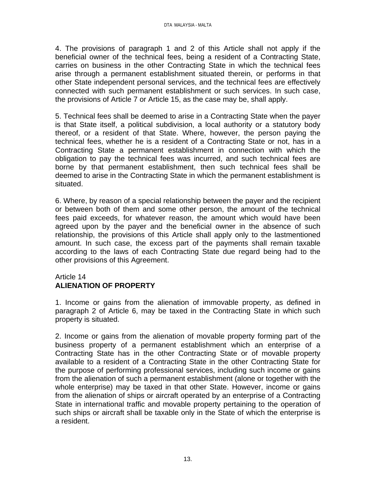4. The provisions of paragraph 1 and 2 of this Article shall not apply if the beneficial owner of the technical fees, being a resident of a Contracting State, carries on business in the other Contracting State in which the technical fees arise through a permanent establishment situated therein, or performs in that other State independent personal services, and the technical fees are effectively connected with such permanent establishment or such services. In such case, the provisions of Article 7 or Article 15, as the case may be, shall apply.

5. Technical fees shall be deemed to arise in a Contracting State when the payer is that State itself, a political subdivision, a local authority or a statutory body thereof, or a resident of that State. Where, however, the person paying the technical fees, whether he is a resident of a Contracting State or not, has in a Contracting State a permanent establishment in connection with which the obligation to pay the technical fees was incurred, and such technical fees are borne by that permanent establishment, then such technical fees shall be deemed to arise in the Contracting State in which the permanent establishment is situated.

6. Where, by reason of a special relationship between the payer and the recipient or between both of them and some other person, the amount of the technical fees paid exceeds, for whatever reason, the amount which would have been agreed upon by the payer and the beneficial owner in the absence of such relationship, the provisions of this Article shall apply only to the lastmentioned amount. In such case, the excess part of the payments shall remain taxable according to the laws of each Contracting State due regard being had to the other provisions of this Agreement.

## Article 14 **ALIENATION OF PROPERTY**

1. Income or gains from the alienation of immovable property, as defined in paragraph 2 of Article 6, may be taxed in the Contracting State in which such property is situated.

2. Income or gains from the alienation of movable property forming part of the business property of a permanent establishment which an enterprise of a Contracting State has in the other Contracting State or of movable property available to a resident of a Contracting State in the other Contracting State for the purpose of performing professional services, including such income or gains from the alienation of such a permanent establishment (alone or together with the whole enterprise) may be taxed in that other State. However, income or gains from the alienation of ships or aircraft operated by an enterprise of a Contracting State in international traffic and movable property pertaining to the operation of such ships or aircraft shall be taxable only in the State of which the enterprise is a resident.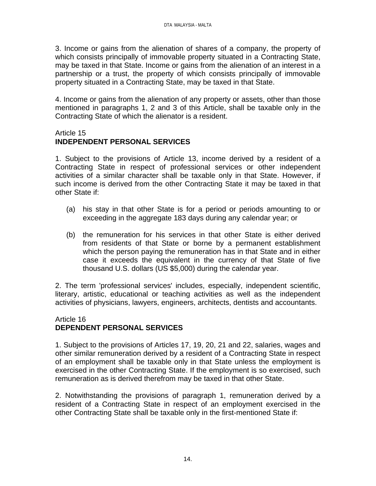3. Income or gains from the alienation of shares of a company, the property of which consists principally of immovable property situated in a Contracting State, may be taxed in that State. Income or gains from the alienation of an interest in a partnership or a trust, the property of which consists principally of immovable property situated in a Contracting State, may be taxed in that State.

4. Income or gains from the alienation of any property or assets, other than those mentioned in paragraphs 1, 2 and 3 of this Article, shall be taxable only in the Contracting State of which the alienator is a resident.

#### Article 15 **INDEPENDENT PERSONAL SERVICES**

1. Subject to the provisions of Article 13, income derived by a resident of a Contracting State in respect of professional services or other independent activities of a similar character shall be taxable only in that State. However, if such income is derived from the other Contracting State it may be taxed in that other State if:

- (a) his stay in that other State is for a period or periods amounting to or exceeding in the aggregate 183 days during any calendar year; or
- (b) the remuneration for his services in that other State is either derived from residents of that State or borne by a permanent establishment which the person paying the remuneration has in that State and in either case it exceeds the equivalent in the currency of that State of five thousand U.S. dollars (US \$5,000) during the calendar year.

2. The term 'professional services' includes, especially, independent scientific, literary, artistic, educational or teaching activities as well as the independent activities of physicians, lawyers, engineers, architects, dentists and accountants.

## Article 16 **DEPENDENT PERSONAL SERVICES**

1. Subject to the provisions of Articles 17, 19, 20, 21 and 22, salaries, wages and other similar remuneration derived by a resident of a Contracting State in respect of an employment shall be taxable only in that State unless the employment is exercised in the other Contracting State. If the employment is so exercised, such remuneration as is derived therefrom may be taxed in that other State.

2. Notwithstanding the provisions of paragraph 1, remuneration derived by a resident of a Contracting State in respect of an employment exercised in the other Contracting State shall be taxable only in the first-mentioned State if: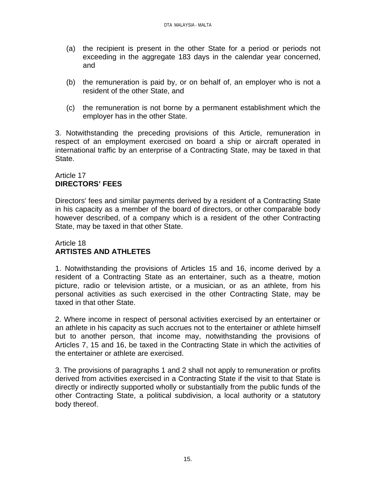- (a) the recipient is present in the other State for a period or periods not exceeding in the aggregate 183 days in the calendar year concerned, and
- (b) the remuneration is paid by, or on behalf of, an employer who is not a resident of the other State, and
- (c) the remuneration is not borne by a permanent establishment which the employer has in the other State.

3. Notwithstanding the preceding provisions of this Article, remuneration in respect of an employment exercised on board a ship or aircraft operated in international traffic by an enterprise of a Contracting State, may be taxed in that State.

## Article 17 **DIRECTORS' FEES**

Directors' fees and similar payments derived by a resident of a Contracting State in his capacity as a member of the board of directors, or other comparable body however described, of a company which is a resident of the other Contracting State, may be taxed in that other State.

## Article 18 **ARTISTES AND ATHLETES**

1. Notwithstanding the provisions of Articles 15 and 16, income derived by a resident of a Contracting State as an entertainer, such as a theatre, motion picture, radio or television artiste, or a musician, or as an athlete, from his personal activities as such exercised in the other Contracting State, may be taxed in that other State.

2. Where income in respect of personal activities exercised by an entertainer or an athlete in his capacity as such accrues not to the entertainer or athlete himself but to another person, that income may, notwithstanding the provisions of Articles 7, 15 and 16, be taxed in the Contracting State in which the activities of the entertainer or athlete are exercised.

3. The provisions of paragraphs 1 and 2 shall not apply to remuneration or profits derived from activities exercised in a Contracting State if the visit to that State is directly or indirectly supported wholly or substantially from the public funds of the other Contracting State, a political subdivision, a local authority or a statutory body thereof.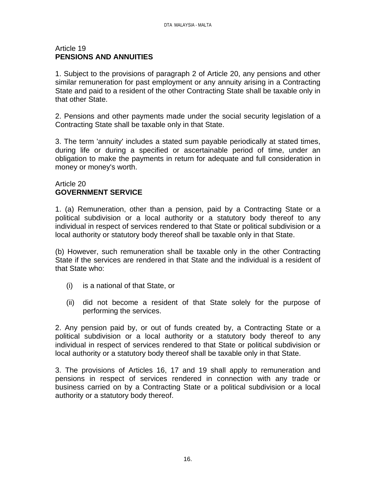#### Article 19 **PENSIONS AND ANNUITIES**

1. Subject to the provisions of paragraph 2 of Article 20, any pensions and other similar remuneration for past employment or any annuity arising in a Contracting State and paid to a resident of the other Contracting State shall be taxable only in that other State.

2. Pensions and other payments made under the social security legislation of a Contracting State shall be taxable only in that State.

3. The term 'annuity' includes a stated sum payable periodically at stated times, during life or during a specified or ascertainable period of time, under an obligation to make the payments in return for adequate and full consideration in money or money's worth.

## Article 20 **GOVERNMENT SERVICE**

1. (a) Remuneration, other than a pension, paid by a Contracting State or a political subdivision or a local authority or a statutory body thereof to any individual in respect of services rendered to that State or political subdivision or a local authority or statutory body thereof shall be taxable only in that State.

(b) However, such remuneration shall be taxable only in the other Contracting State if the services are rendered in that State and the individual is a resident of that State who:

- (i) is a national of that State, or
- (ii) did not become a resident of that State solely for the purpose of performing the services.

2. Any pension paid by, or out of funds created by, a Contracting State or a political subdivision or a local authority or a statutory body thereof to any individual in respect of services rendered to that State or political subdivision or local authority or a statutory body thereof shall be taxable only in that State.

3. The provisions of Articles 16, 17 and 19 shall apply to remuneration and pensions in respect of services rendered in connection with any trade or business carried on by a Contracting State or a political subdivision or a local authority or a statutory body thereof.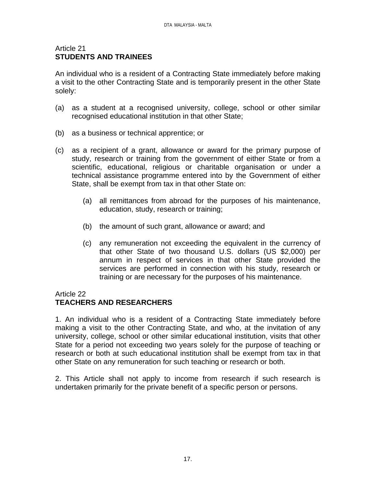#### Article 21 **STUDENTS AND TRAINEES**

An individual who is a resident of a Contracting State immediately before making a visit to the other Contracting State and is temporarily present in the other State solely:

- (a) as a student at a recognised university, college, school or other similar recognised educational institution in that other State;
- (b) as a business or technical apprentice; or
- (c) as a recipient of a grant, allowance or award for the primary purpose of study, research or training from the government of either State or from a scientific, educational, religious or charitable organisation or under a technical assistance programme entered into by the Government of either State, shall be exempt from tax in that other State on:
	- (a) all remittances from abroad for the purposes of his maintenance, education, study, research or training;
	- (b) the amount of such grant, allowance or award; and
	- (c) any remuneration not exceeding the equivalent in the currency of that other State of two thousand U.S. dollars (US \$2,000) per annum in respect of services in that other State provided the services are performed in connection with his study, research or training or are necessary for the purposes of his maintenance.

# Article 22

# **TEACHERS AND RESEARCHERS**

1. An individual who is a resident of a Contracting State immediately before making a visit to the other Contracting State, and who, at the invitation of any university, college, school or other similar educational institution, visits that other State for a period not exceeding two years solely for the purpose of teaching or research or both at such educational institution shall be exempt from tax in that other State on any remuneration for such teaching or research or both.

2. This Article shall not apply to income from research if such research is undertaken primarily for the private benefit of a specific person or persons.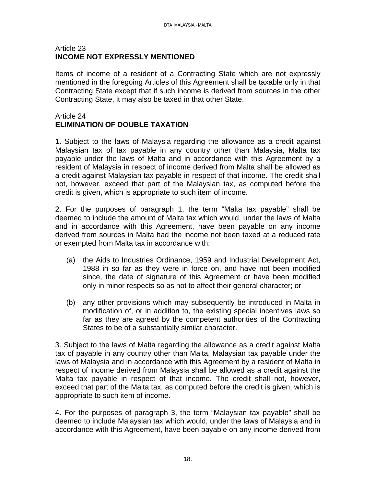#### Article 23 **INCOME NOT EXPRESSLY MENTIONED**

Items of income of a resident of a Contracting State which are not expressly mentioned in the foregoing Articles of this Agreement shall be taxable only in that Contracting State except that if such income is derived from sources in the other Contracting State, it may also be taxed in that other State.

# Article 24 **ELIMINATION OF DOUBLE TAXATION**

1. Subject to the laws of Malaysia regarding the allowance as a credit against Malaysian tax of tax payable in any country other than Malaysia, Malta tax payable under the laws of Malta and in accordance with this Agreement by a resident of Malaysia in respect of income derived from Malta shall be allowed as a credit against Malaysian tax payable in respect of that income. The credit shall not, however, exceed that part of the Malaysian tax, as computed before the credit is given, which is appropriate to such item of income.

2. For the purposes of paragraph 1, the term "Malta tax payable" shall be deemed to include the amount of Malta tax which would, under the laws of Malta and in accordance with this Agreement, have been payable on any income derived from sources in Malta had the income not been taxed at a reduced rate or exempted from Malta tax in accordance with:

- (a) the Aids to Industries Ordinance, 1959 and Industrial Development Act, 1988 in so far as they were in force on, and have not been modified since, the date of signature of this Agreement or have been modified only in minor respects so as not to affect their general character; or
- (b) any other provisions which may subsequently be introduced in Malta in modification of, or in addition to, the existing special incentives laws so far as they are agreed by the competent authorities of the Contracting States to be of a substantially similar character.

3. Subject to the laws of Malta regarding the allowance as a credit against Malta tax of payable in any country other than Malta, Malaysian tax payable under the laws of Malaysia and in accordance with this Agreement by a resident of Malta in respect of income derived from Malaysia shall be allowed as a credit against the Malta tax payable in respect of that income. The credit shall not, however, exceed that part of the Malta tax, as computed before the credit is given, which is appropriate to such item of income.

4. For the purposes of paragraph 3, the term "Malaysian tax payable" shall be deemed to include Malaysian tax which would, under the laws of Malaysia and in accordance with this Agreement, have been payable on any income derived from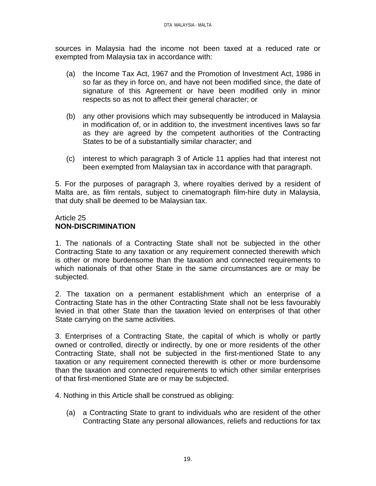sources in Malaysia had the income not been taxed at a reduced rate or exempted from Malaysia tax in accordance with:

- (a) the Income Tax Act, 1967 and the Promotion of Investment Act, 1986 in so far as they in force on, and have not been modified since, the date of signature of this Agreement or have been modified only in minor respects so as not to affect their general character; or
- (b) any other provisions which may subsequently be introduced in Malaysia in modification of, or in addition to, the investment incentives laws so far as they are agreed by the competent authorities of the Contracting States to be of a substantially similar character; and
- (c) interest to which paragraph 3 of Article 11 applies had that interest not been exempted from Malaysian tax in accordance with that paragraph.

5. For the purposes of paragraph 3, where royalties derived by a resident of Malta are, as film rentals, subject to cinematograph film-hire duty in Malaysia, that duty shall be deemed to be Malaysian tax.

#### Article 25 **NON-DISCRIMINATION**

1. The nationals of a Contracting State shall not be subjected in the other Contracting State to any taxation or any requirement connected therewith which is other or more burdensome than the taxation and connected requirements to which nationals of that other State in the same circumstances are or may be subjected.

2. The taxation on a permanent establishment which an enterprise of a Contracting State has in the other Contracting State shall not be less favourably levied in that other State than the taxation levied on enterprises of that other State carrying on the same activities.

3. Enterprises of a Contracting State, the capital of which is wholly or partly owned or controlled, directly or indirectly, by one or more residents of the other Contracting State, shall not be subjected in the first-mentioned State to any taxation or any requirement connected therewith is other or more burdensome than the taxation and connected requirements to which other similar enterprises of that first-mentioned State are or may be subjected.

4. Nothing in this Article shall be construed as obliging:

(a) a Contracting State to grant to individuals who are resident of the other Contracting State any personal allowances, reliefs and reductions for tax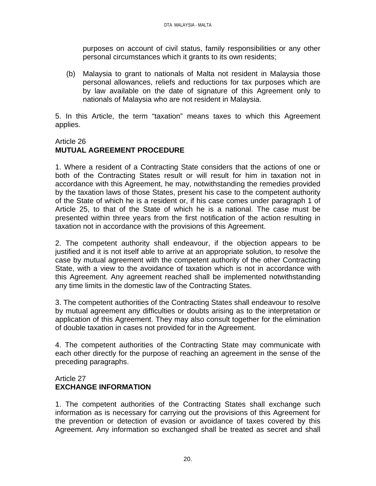purposes on account of civil status, family responsibilities or any other personal circumstances which it grants to its own residents;

(b) Malaysia to grant to nationals of Malta not resident in Malaysia those personal allowances, reliefs and reductions for tax purposes which are by law available on the date of signature of this Agreement only to nationals of Malaysia who are not resident in Malaysia.

5. In this Article, the term "taxation" means taxes to which this Agreement applies.

# Article 26

# **MUTUAL AGREEMENT PROCEDURE**

1. Where a resident of a Contracting State considers that the actions of one or both of the Contracting States result or will result for him in taxation not in accordance with this Agreement, he may, notwithstanding the remedies provided by the taxation laws of those States, present his case to the competent authority of the State of which he is a resident or, if his case comes under paragraph 1 of Article 25, to that of the State of which he is a national. The case must be presented within three years from the first notification of the action resulting in taxation not in accordance with the provisions of this Agreement.

2. The competent authority shall endeavour, if the objection appears to be justified and it is not itself able to arrive at an appropriate solution, to resolve the case by mutual agreement with the competent authority of the other Contracting State, with a view to the avoidance of taxation which is not in accordance with this Agreement. Any agreement reached shall be implemented notwithstanding any time limits in the domestic law of the Contracting States.

3. The competent authorities of the Contracting States shall endeavour to resolve by mutual agreement any difficulties or doubts arising as to the interpretation or application of this Agreement. They may also consult together for the elimination of double taxation in cases not provided for in the Agreement.

4. The competent authorities of the Contracting State may communicate with each other directly for the purpose of reaching an agreement in the sense of the preceding paragraphs.

## Article 27 **EXCHANGE INFORMATION**

1. The competent authorities of the Contracting States shall exchange such information as is necessary for carrying out the provisions of this Agreement for the prevention or detection of evasion or avoidance of taxes covered by this Agreement. Any information so exchanged shall be treated as secret and shall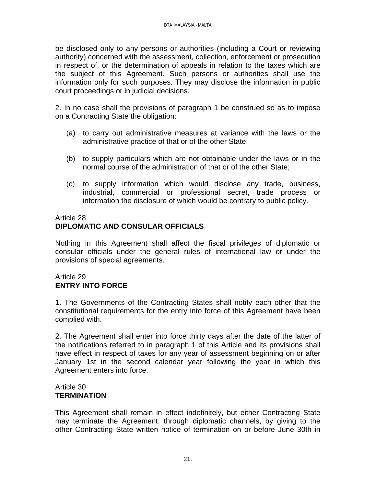be disclosed only to any persons or authorities (including a Court or reviewing authority) concerned with the assessment, collection, enforcement or prosecution in respect of, or the determination of appeals in relation to the taxes which are the subject of this Agreement. Such persons or authorities shall use the information only for such purposes. They may disclose the information in public court proceedings or in judicial decisions.

2. In no case shall the provisions of paragraph 1 be construed so as to impose on a Contracting State the obligation:

- (a) to carry out administrative measures at variance with the laws or the administrative practice of that or of the other State;
- (b) to supply particulars which are not obtainable under the laws or in the normal course of the administration of that or of the other State;
- (c) to supply information which would disclose any trade, business, industrial, commercial or professional secret, trade process or information the disclosure of which would be contrary to public policy.

# Article 28 **DIPLOMATIC AND CONSULAR OFFICIALS**

Nothing in this Agreement shall affect the fiscal privileges of diplomatic or consular officials under the general rules of international law or under the provisions of special agreements.

## Article 29 **ENTRY INTO FORCE**

1. The Governments of the Contracting States shall notify each other that the constitutional requirements for the entry into force of this Agreement have been complied with.

2. The Agreement shall enter into force thirty days after the date of the latter of the notifications referred to in paragraph 1 of this Article and its provisions shall have effect in respect of taxes for any year of assessment beginning on or after January 1st in the second calendar year following the year in which this Agreement enters into force.

## Article 30 **TERMINATION**

This Agreement shall remain in effect indefinitely, but either Contracting State may terminate the Agreement, through diplomatic channels, by giving to the other Contracting State written notice of termination on or before June 30th in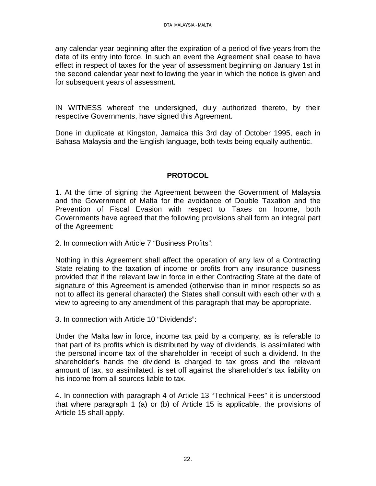any calendar year beginning after the expiration of a period of five years from the date of its entry into force. In such an event the Agreement shall cease to have effect in respect of taxes for the year of assessment beginning on January 1st in the second calendar year next following the year in which the notice is given and for subsequent years of assessment.

IN WITNESS whereof the undersigned, duly authorized thereto, by their respective Governments, have signed this Agreement.

Done in duplicate at Kingston, Jamaica this 3rd day of October 1995, each in Bahasa Malaysia and the English language, both texts being equally authentic.

# **PROTOCOL**

1. At the time of signing the Agreement between the Government of Malaysia and the Government of Malta for the avoidance of Double Taxation and the Prevention of Fiscal Evasion with respect to Taxes on Income, both Governments have agreed that the following provisions shall form an integral part of the Agreement:

2. In connection with Article 7 "Business Profits":

Nothing in this Agreement shall affect the operation of any law of a Contracting State relating to the taxation of income or profits from any insurance business provided that if the relevant law in force in either Contracting State at the date of signature of this Agreement is amended (otherwise than in minor respects so as not to affect its general character) the States shall consult with each other with a view to agreeing to any amendment of this paragraph that may be appropriate.

3. In connection with Article 10 "Dividends":

Under the Malta law in force, income tax paid by a company, as is referable to that part of its profits which is distributed by way of dividends, is assimilated with the personal income tax of the shareholder in receipt of such a dividend. In the shareholder's hands the dividend is charged to tax gross and the relevant amount of tax, so assimilated, is set off against the shareholder's tax liability on his income from all sources liable to tax.

4. In connection with paragraph 4 of Article 13 "Technical Fees" it is understood that where paragraph 1 (a) or (b) of Article 15 is applicable, the provisions of Article 15 shall apply.